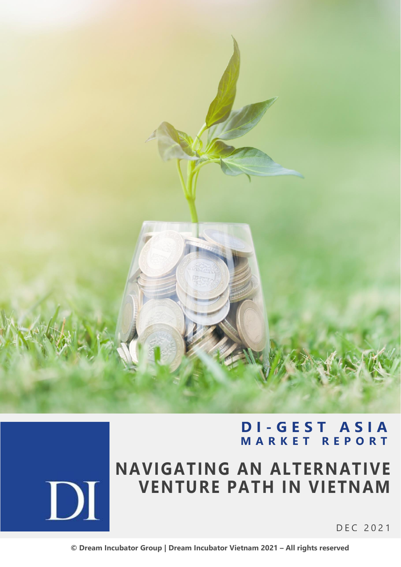

## **D I - G E S T A S I A M A R K E T R E P O R T**



# **NAVIGATING AN ALTERNATIVE VENTURE PATH IN VIETNAM**

D E C 2021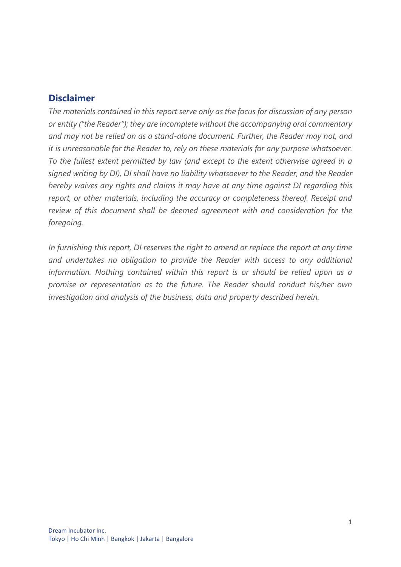#### **Disclaimer**

*The materials contained in this report serve only as the focus for discussion of any person or entity ("the Reader"); they are incomplete without the accompanying oral commentary and may not be relied on as a stand-alone document. Further, the Reader may not, and it is unreasonable for the Reader to, rely on these materials for any purpose whatsoever. To the fullest extent permitted by law (and except to the extent otherwise agreed in a signed writing by DI), DI shall have no liability whatsoever to the Reader, and the Reader hereby waives any rights and claims it may have at any time against DI regarding this report, or other materials, including the accuracy or completeness thereof. Receipt and review of this document shall be deemed agreement with and consideration for the foregoing.*

*In furnishing this report, DI reserves the right to amend or replace the report at any time and undertakes no obligation to provide the Reader with access to any additional information. Nothing contained within this report is or should be relied upon as a promise or representation as to the future. The Reader should conduct his/her own investigation and analysis of the business, data and property described herein.*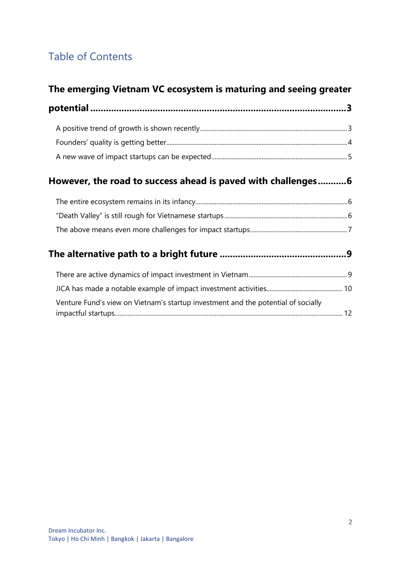## Table of Contents

### **[The emerging Vietnam VC ecosystem is maturing and seeing greater](#page-3-0)**

### **[However, the road to success ahead is paved with challenges...........6](#page-6-0)**

### **[The alternative path to a bright future](#page-9-0) .................................................9**

| Venture Fund's view on Vietnam's startup investment and the potential of socially |  |
|-----------------------------------------------------------------------------------|--|
|                                                                                   |  |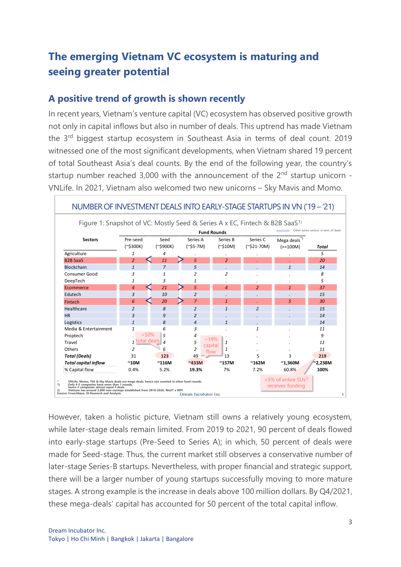## <span id="page-3-0"></span>**The emerging Vietnam VC ecosystem is maturing and seeing greater potential**

#### <span id="page-3-1"></span>**A positive trend of growth is shown recently**

In recent years, Vietnam's venture capital (VC) ecosystem has observed positive growth not only in capital inflows but also in number of deals. This uptrend has made Vietnam the 3rd biggest startup ecosystem in Southeast Asia in terms of deal count. 2019 witnessed one of the most significant developments, when Vietnam shared 19 percent of total Southeast Asia's deal counts. By the end of the following year, the country's startup number reached 3,000 with the announcement of the  $2<sup>nd</sup>$  startup unicorn -VNLife. In 2021, Vietnam also welcomed two new unicorns – Sky Mavis and Momo.



NUMBER OF INVESTMENT DEALS INTO EARLY-STAGE STARTUPS IN VN ('19 – '21)

However, taken a holistic picture, Vietnam still owns a relatively young ecosystem, while later-stage deals remain limited. From 2019 to 2021, 90 percent of deals flowed into early-stage startups (Pre-Seed to Series A); in which, 50 percent of deals were made for Seed-stage. Thus, the current market still observes a conservative number of later-stage Series-B startups. Nevertheless, with proper financial and strategic support, there will be a larger number of young startups successfully moving to more mature stages. A strong example is the increase in deals above 100 million dollars. By Q4/2021, these mega-deals' capital has accounted for 50 percent of the total capital inflow.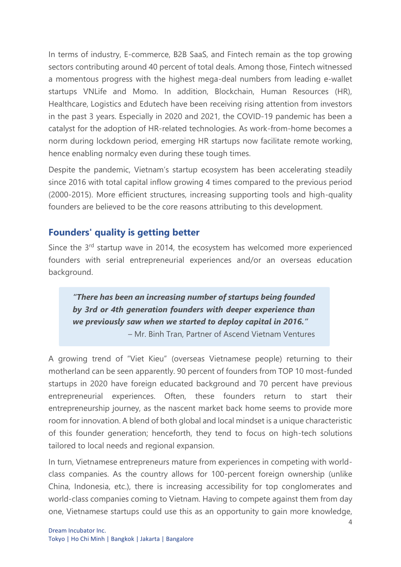In terms of industry, E-commerce, B2B SaaS, and Fintech remain as the top growing sectors contributing around 40 percent of total deals. Among those, Fintech witnessed a momentous progress with the highest mega-deal numbers from leading e-wallet startups VNLife and Momo. In addition, Blockchain, Human Resources (HR), Healthcare, Logistics and Edutech have been receiving rising attention from investors in the past 3 years. Especially in 2020 and 2021, the COVID-19 pandemic has been a catalyst for the adoption of HR-related technologies. As work-from-home becomes a norm during lockdown period, emerging HR startups now facilitate remote working, hence enabling normalcy even during these tough times.

Despite the pandemic, Vietnam's startup ecosystem has been accelerating steadily since 2016 with total capital inflow growing 4 times compared to the previous period (2000-2015). More efficient structures, increasing supporting tools and high-quality founders are believed to be the core reasons attributing to this development.

#### <span id="page-4-0"></span>**Founders' quality is getting better**

Since the 3<sup>rd</sup> startup wave in 2014, the ecosystem has welcomed more experienced founders with serial entrepreneurial experiences and/or an overseas education background.

*"There has been an increasing number of startups being founded by 3rd or 4th generation founders with deeper experience than we previously saw when we started to deploy capital in 2016."* – Mr. Binh Tran, Partner of Ascend Vietnam Ventures

A growing trend of "Viet Kieu" (overseas Vietnamese people) returning to their motherland can be seen apparently. 90 percent of founders from TOP 10 most-funded startups in 2020 have foreign educated background and 70 percent have previous entrepreneurial experiences. Often, these founders return to start their entrepreneurship journey, as the nascent market back home seems to provide more room for innovation. A blend of both global and local mindset is a unique characteristic of this founder generation; henceforth, they tend to focus on high-tech solutions tailored to local needs and regional expansion.

In turn, Vietnamese entrepreneurs mature from experiences in competing with worldclass companies. As the country allows for 100-percent foreign ownership (unlike China, Indonesia, etc.), there is increasing accessibility for top conglomerates and world-class companies coming to Vietnam. Having to compete against them from day one, Vietnamese startups could use this as an opportunity to gain more knowledge,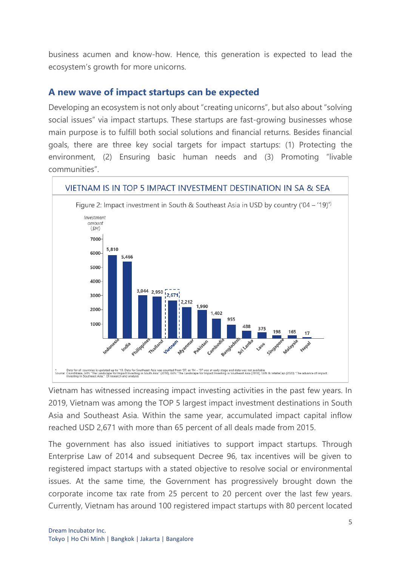business acumen and know-how. Hence, this generation is expected to lead the ecosystem's growth for more unicorns.

#### <span id="page-5-0"></span>**A new wave of impact startups can be expected**

Developing an ecosystem is not only about "creating unicorns", but also about "solving social issues" via impact startups. These startups are fast-growing businesses whose main purpose is to fulfill both social solutions and financial returns. Besides financial goals, there are three key social targets for impact startups: (1) Protecting the environment, (2) Ensuring basic human needs and (3) Promoting "livable communities".



Vietnam has witnessed increasing impact investing activities in the past few years. In 2019, Vietnam was among the TOP 5 largest impact investment destinations in South Asia and Southeast Asia. Within the same year, accumulated impact capital inflow reached USD 2,671 with more than 65 percent of all deals made from 2015.

The government has also issued initiatives to support impact startups. Through Enterprise Law of 2014 and subsequent Decree 96, tax incentives will be given to registered impact startups with a stated objective to resolve social or environmental issues. At the same time, the Government has progressively brought down the corporate income tax rate from 25 percent to 20 percent over the last few years. Currently, Vietnam has around 100 registered impact startups with 80 percent located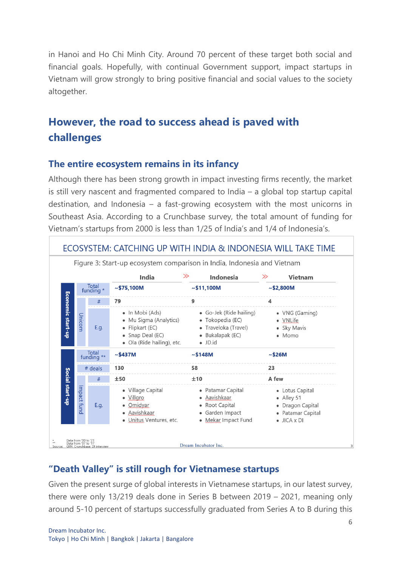in Hanoi and Ho Chi Minh City. Around 70 percent of these target both social and financial goals. Hopefully, with continual Government support, impact startups in Vietnam will grow strongly to bring positive financial and social values to the society altogether.

## <span id="page-6-0"></span>**However, the road to success ahead is paved with challenges**

#### <span id="page-6-1"></span>**The entire ecosystem remains in its infancy**

Although there has been strong growth in impact investing firms recently, the market is still very nascent and fragmented compared to India – a global top startup capital destination, and Indonesia – a fast-growing ecosystem with the most unicorns in Southeast Asia. According to a Crunchbase survey, the total amount of funding for Vietnam's startups from 2000 is less than 1/25 of India's and 1/4 of Indonesia's.



### <span id="page-6-2"></span>**"Death Valley" is still rough for Vietnamese startups**

Given the present surge of global interests in Vietnamese startups, in our latest survey, there were only 13/219 deals done in Series B between 2019 – 2021, meaning only around 5-10 percent of startups successfully graduated from Series A to B during this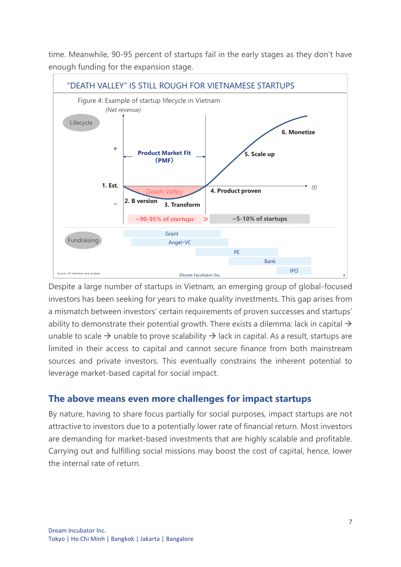time. Meanwhile, 90-95 percent of startups fail in the early stages as they don't have enough funding for the expansion stage.



Despite a large number of startups in Vietnam, an emerging group of global-focused investors has been seeking for years to make quality investments. This gap arises from a mismatch between investors' certain requirements of proven successes and startups' ability to demonstrate their potential growth. There exists a dilemma: lack in capital  $\rightarrow$ unable to scale  $\rightarrow$  unable to prove scalability  $\rightarrow$  lack in capital. As a result, startups are limited in their access to capital and cannot secure finance from both mainstream sources and private investors. This eventually constrains the inherent potential to leverage market-based capital for social impact.

#### <span id="page-7-0"></span>**The above means even more challenges for impact startups**

By nature, having to share focus partially for social purposes, impact startups are not attractive to investors due to a potentially lower rate of financial return. Most investors are demanding for market-based investments that are highly scalable and profitable. Carrying out and fulfilling social missions may boost the cost of capital, hence, lower the internal rate of return.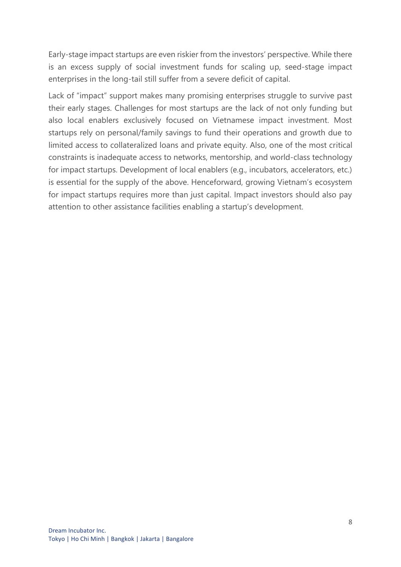Early-stage impact startups are even riskier from the investors' perspective. While there is an excess supply of social investment funds for scaling up, seed-stage impact enterprises in the long-tail still suffer from a severe deficit of capital.

Lack of "impact" support makes many promising enterprises struggle to survive past their early stages. Challenges for most startups are the lack of not only funding but also local enablers exclusively focused on Vietnamese impact investment. Most startups rely on personal/family savings to fund their operations and growth due to limited access to collateralized loans and private equity. Also, one of the most critical constraints is inadequate access to networks, mentorship, and world-class technology for impact startups. Development of local enablers (e.g., incubators, accelerators, etc.) is essential for the supply of the above. Henceforward, growing Vietnam's ecosystem for impact startups requires more than just capital. Impact investors should also pay attention to other assistance facilities enabling a startup's development.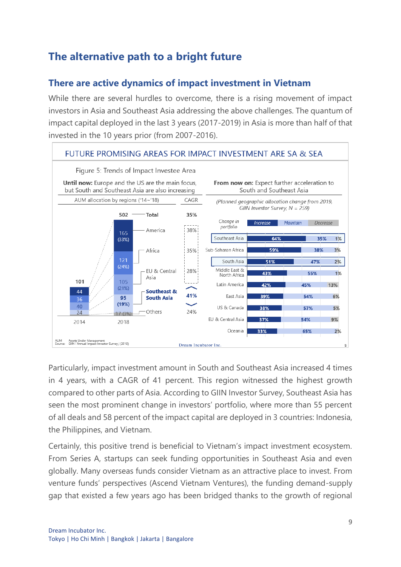### <span id="page-9-0"></span>**The alternative path to a bright future**

### <span id="page-9-1"></span>**There are active dynamics of impact investment in Vietnam**

While there are several hurdles to overcome, there is a rising movement of impact investors in Asia and Southeast Asia addressing the above challenges. The quantum of impact capital deployed in the last 3 years (2017-2019) in Asia is more than half of that invested in the 10 years prior (from 2007-2016).



Particularly, impact investment amount in South and Southeast Asia increased 4 times in 4 years, with a CAGR of 41 percent. This region witnessed the highest growth compared to other parts of Asia. According to GIIN Investor Survey, Southeast Asia has seen the most prominent change in investors' portfolio, where more than 55 percent of all deals and 58 percent of the impact capital are deployed in 3 countries: Indonesia, the Philippines, and Vietnam.

Certainly, this positive trend is beneficial to Vietnam's impact investment ecosystem. From Series A, startups can seek funding opportunities in Southeast Asia and even globally. Many overseas funds consider Vietnam as an attractive place to invest. From venture funds' perspectives (Ascend Vietnam Ventures), the funding demand-supply gap that existed a few years ago has been bridged thanks to the growth of regional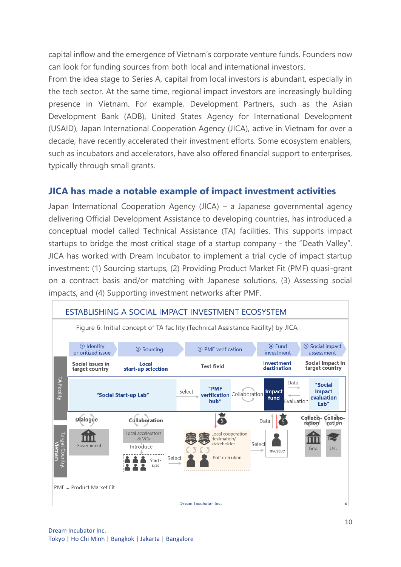capital inflow and the emergence of Vietnam's corporate venture funds. Founders now can look for funding sources from both local and international investors.

From the idea stage to Series A, capital from local investors is abundant, especially in the tech sector. At the same time, regional impact investors are increasingly building presence in Vietnam. For example, Development Partners, such as the Asian Development Bank (ADB), United States Agency for International Development (USAID), Japan International Cooperation Agency (JICA), active in Vietnam for over a decade, have recently accelerated their investment efforts. Some ecosystem enablers, such as incubators and accelerators, have also offered financial support to enterprises, typically through small grants.

#### <span id="page-10-0"></span>**JICA has made a notable example of impact investment activities**

Japan International Cooperation Agency (JICA) – a Japanese governmental agency delivering Official Development Assistance to developing countries, has introduced a conceptual model called Technical Assistance (TA) facilities. This supports impact startups to bridge the most critical stage of a startup company - the "Death Valley". JICA has worked with Dream Incubator to implement a trial cycle of impact startup investment: (1) Sourcing startups, (2) Providing Product Market Fit (PMF) quasi-grant on a contract basis and/or matching with Japanese solutions, (3) Assessing social impacts, and (4) Supporting investment networks after PMF.

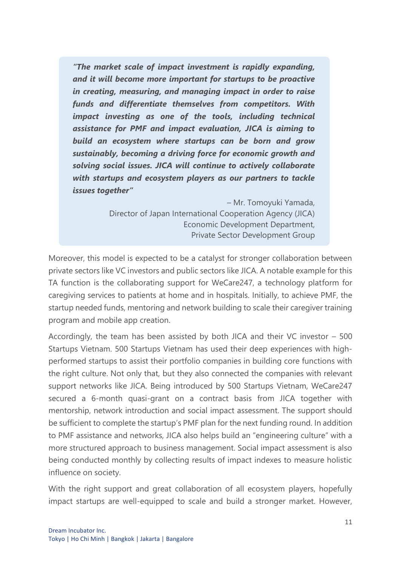*"The market scale of impact investment is rapidly expanding, and it will become more important for startups to be proactive in creating, measuring, and managing impact in order to raise funds and differentiate themselves from competitors. With impact investing as one of the tools, including technical assistance for PMF and impact evaluation, JICA is aiming to build an ecosystem where startups can be born and grow sustainably, becoming a driving force for economic growth and solving social issues. JICA will continue to actively collaborate with startups and ecosystem players as our partners to tackle issues together"* 

> – Mr. Tomoyuki Yamada, Director of Japan International Cooperation Agency (JICA) Economic Development Department, Private Sector Development Group

Moreover, this model is expected to be a catalyst for stronger collaboration between private sectors like VC investors and public sectors like JICA. A notable example for this TA function is the collaborating support for WeCare247, a technology platform for caregiving services to patients at home and in hospitals. Initially, to achieve PMF, the startup needed funds, mentoring and network building to scale their caregiver training program and mobile app creation.

Accordingly, the team has been assisted by both JICA and their VC investor – 500 Startups Vietnam. 500 Startups Vietnam has used their deep experiences with highperformed startups to assist their portfolio companies in building core functions with the right culture. Not only that, but they also connected the companies with relevant support networks like JICA. Being introduced by 500 Startups Vietnam, WeCare247 secured a 6-month quasi-grant on a contract basis from JICA together with mentorship, network introduction and social impact assessment. The support should be sufficient to complete the startup's PMF plan for the next funding round. In addition to PMF assistance and networks, JICA also helps build an "engineering culture" with a more structured approach to business management. Social impact assessment is also being conducted monthly by collecting results of impact indexes to measure holistic influence on society.

With the right support and great collaboration of all ecosystem players, hopefully impact startups are well-equipped to scale and build a stronger market. However,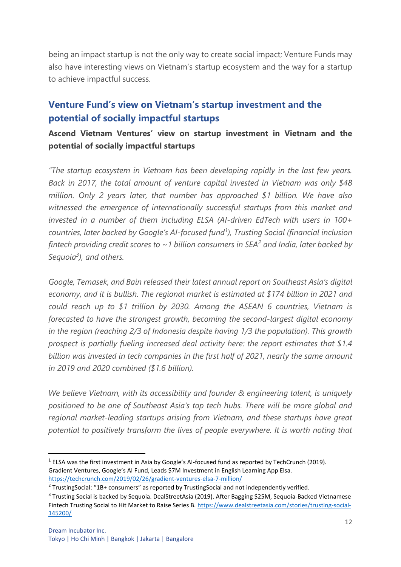being an impact startup is not the only way to create social impact; Venture Funds may also have interesting views on Vietnam's startup ecosystem and the way for a startup to achieve impactful success.

### <span id="page-12-0"></span>**Venture Fund's view on Vietnam's startup investment and the potential of socially impactful startups**

#### **Ascend Vietnam Ventures' view on startup investment in Vietnam and the potential of socially impactful startups**

*"The startup ecosystem in Vietnam has been developing rapidly in the last few years. Back in 2017, the total amount of venture capital invested in Vietnam was only \$48 million. Only 2 years later, that number has approached \$1 billion. We have also witnessed the emergence of internationally successful startups from this market and invested in a number of them including ELSA (AI-driven EdTech with users in 100+ countries, later backed by Google's AI-focused fund<sup>1</sup> ), Trusting Social (financial inclusion fintech providing credit scores to ~1 billion consumers in SEA<sup>2</sup> and India, later backed by Sequoia<sup>3</sup> ), and others.*

Google, Temasek, and Bain released their latest annual report on Southeast Asia's digital *economy, and it is bullish. The regional market is estimated at \$174 billion in 2021 and could reach up to \$1 trillion by 2030. Among the ASEAN 6 countries, Vietnam is forecasted to have the strongest growth, becoming the second-largest digital economy in the region (reaching 2/3 of Indonesia despite having 1/3 the population). This growth prospect is partially fueling increased deal activity here: the report estimates that \$1.4 billion was invested in tech companies in the first half of 2021, nearly the same amount in 2019 and 2020 combined (\$1.6 billion).*

*We believe Vietnam, with its accessibility and founder & engineering talent, is uniquely positioned to be one of Southeast Asia's top tech hubs. There will be more global and regional market-leading startups arising from Vietnam, and these startups have great potential to positively transform the lives of people everywhere. It is worth noting that* 

 $<sup>1</sup>$  ELSA was the first investment in Asia by Google's AI-focused fund as reported by TechCrunch (2019).</sup> Gradient Ventures, Google's AI Fund, Leads \$7M Investment in English Learning App Elsa. <https://techcrunch.com/2019/02/26/gradient-ventures-elsa-7-million/>

 $2$  TrustingSocial: "1B+ consumers" as reported by TrustingSocial and not independently verified.

<sup>&</sup>lt;sup>3</sup> Trusting Social is backed by Sequoia. DealStreetAsia (2019). After Bagging \$25M, Sequoia-Backed Vietnamese Fintech Trusting Social to Hit Market to Raise Series B[. https://www.dealstreetasia.com/stories/trusting-social-](https://www.dealstreetasia.com/stories/trusting-social-145200/)[145200/](https://www.dealstreetasia.com/stories/trusting-social-145200/)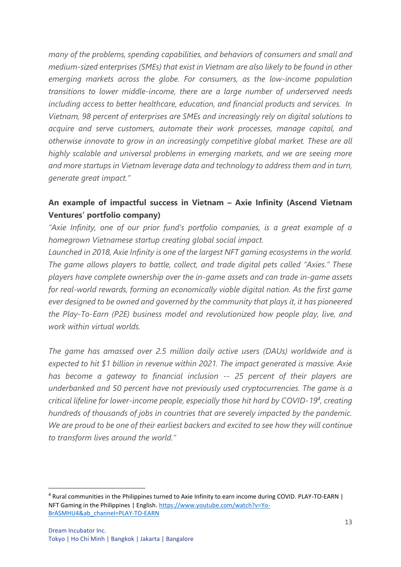*many of the problems, spending capabilities, and behaviors of consumers and small and medium-sized enterprises (SMEs) that exist in Vietnam are also likely to be found in other emerging markets across the globe. For consumers, as the low-income population transitions to lower middle-income, there are a large number of underserved needs including access to better healthcare, education, and financial products and services. In Vietnam, 98 percent of enterprises are SMEs and increasingly rely on digital solutions to acquire and serve customers, automate their work processes, manage capital, and otherwise innovate to grow in an increasingly competitive global market. These are all highly scalable and universal problems in emerging markets, and we are seeing more and more startups in Vietnam leverage data and technology to address them and in turn, generate great impact."*

#### **An example of impactful success in Vietnam – Axie Infinity (Ascend Vietnam Ventures' portfolio company)**

*"Axie Infinity, one of our prior fund's portfolio companies, is a great example of a homegrown Vietnamese startup creating global social impact.*

*Launched in 2018, Axie Infinity is one of the largest NFT gaming ecosystems in the world. The game allows players to battle, collect, and trade digital pets called "Axies." These players have complete ownership over the in-game assets and can trade in-game assets for real-world rewards, forming an economically viable digital nation. As the first game ever designed to be owned and governed by the community that plays it, it has pioneered the Play-To-Earn (P2E) business model and revolutionized how people play, live, and work within virtual worlds.*

*The game has amassed over 2.5 million daily active users (DAUs) worldwide and is expected to hit \$1 billion in revenue within 2021. The impact generated is massive. Axie has become a gateway to financial inclusion -- 25 percent of their players are underbanked and 50 percent have not previously used cryptocurrencies. The game is a critical lifeline for lower-income people, especially those hit hard by COVID-19<sup>4</sup> , creating hundreds of thousands of jobs in countries that are severely impacted by the pandemic. We are proud to be one of their earliest backers and excited to see how they will continue to transform lives around the world."*

<sup>4</sup> Rural communities in the Philippines turned to Axie Infinity to earn income during COVID. PLAY-TO-EARN | NFT Gaming in the Philippines | English. [https://www.youtube.com/watch?v=Yo-](https://www.youtube.com/watch?v=Yo-BrASMHU4&ab_channel=PLAY-TO-EARN)[BrASMHU4&ab\\_channel=PLAY-TO-EARN](https://www.youtube.com/watch?v=Yo-BrASMHU4&ab_channel=PLAY-TO-EARN)